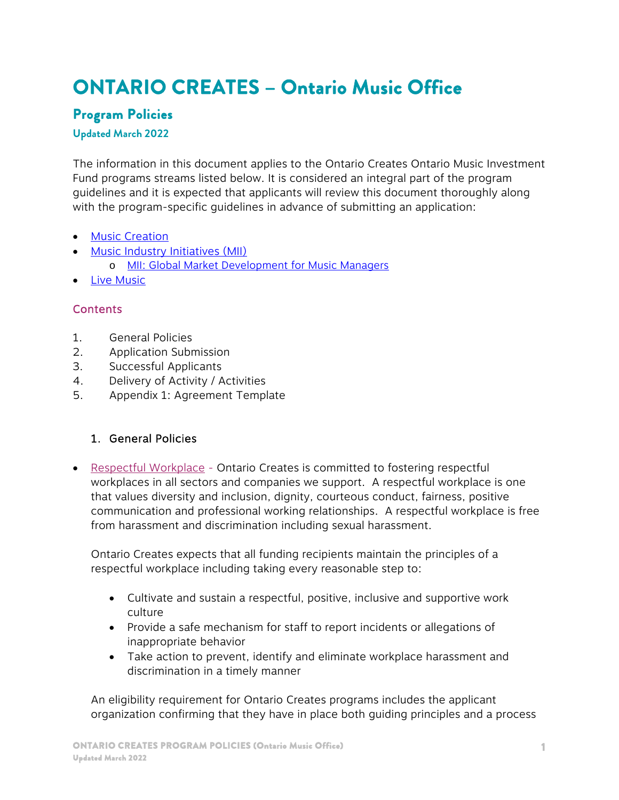# **ONTARIO CREATES – Ontario Music Office**

# **Program Policies**

#### **Updated March 2022**

The information in this document applies to the Ontario Creates Ontario Music Investment Fund programs streams listed below. It is considered an integral part of the program guidelines and it is expected that applicants will review this document thoroughly along with the program-specific guidelines in advance of submitting an application:

- **•** Music Creation
- **[Music Industry Initiatives \(MII\)](https://ontariocreates.ca/our-sectors/music/ontario-music-investment-fund/omif-music-industry-initiatives)** o [MII: Global Market Development for Music Managers](https://ontariocreates.ca/our-sectors/music/ontario-music-investment-fund/omif---music-industry-initiatives-global-market-development-for-music-managers)
- Live Music

# **Contents**

- 1. General Policies
- 2. Application Submission
- 3. Successful Applicants
- 4. Delivery of Activity / Activities
- 5. Appendix 1: Agreement Template

#### 1. General Policies

• Respectful Workplace - Ontario Creates is committed to fostering respectful workplaces in all sectors and companies we support. A respectful workplace is one that values diversity and inclusion, dignity, courteous conduct, fairness, positive communication and professional working relationships. A respectful workplace is free from harassment and discrimination including sexual harassment.

Ontario Creates expects that all funding recipients maintain the principles of a respectful workplace including taking every reasonable step to:

- Cultivate and sustain a respectful, positive, inclusive and supportive work culture
- Provide a safe mechanism for staff to report incidents or allegations of inappropriate behavior
- Take action to prevent, identify and eliminate workplace harassment and discrimination in a timely manner

An eligibility requirement for Ontario Creates programs includes the applicant organization confirming that they have in place both guiding principles and a process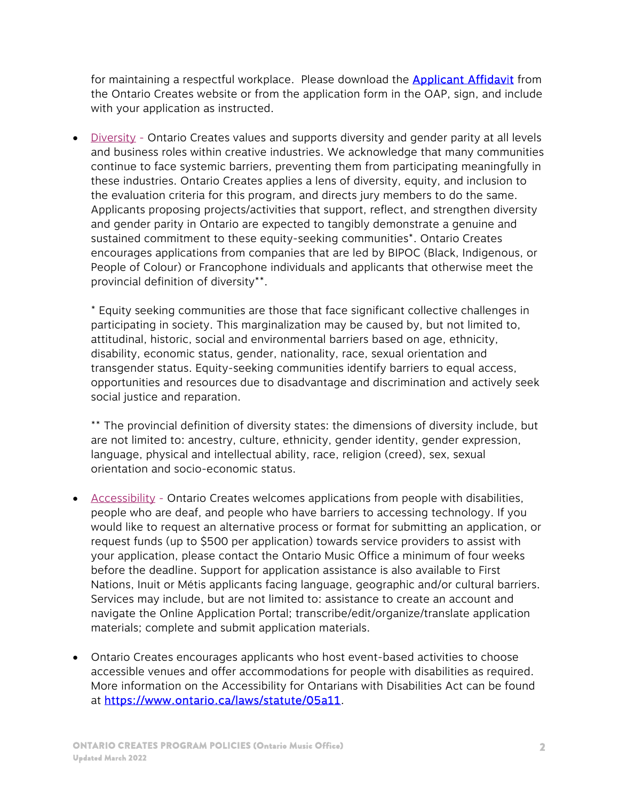for maintaining a respectful workplace. Please download the **Applicant Affidavit** from the Ontario Creates website or from the application form in the OAP, sign, and include with your application as instructed.

 Diversity - Ontario Creates values and supports diversity and gender parity at all levels and business roles within creative industries. We acknowledge that many communities continue to face systemic barriers, preventing them from participating meaningfully in these industries. Ontario Creates applies a lens of diversity, equity, and inclusion to the evaluation criteria for this program, and directs jury members to do the same. Applicants proposing projects/activities that support, reflect, and strengthen diversity and gender parity in Ontario are expected to tangibly demonstrate a genuine and sustained commitment to these equity-seeking communities\*. Ontario Creates encourages applications from companies that are led by BIPOC (Black, Indigenous, or People of Colour) or Francophone individuals and applicants that otherwise meet the provincial definition of diversity\*\*.

\* Equity seeking communities are those that face significant collective challenges in participating in society. This marginalization may be caused by, but not limited to, attitudinal, historic, social and environmental barriers based on age, ethnicity, disability, economic status, gender, nationality, race, sexual orientation and transgender status. Equity-seeking communities identify barriers to equal access, opportunities and resources due to disadvantage and discrimination and actively seek social justice and reparation.

\*\* The provincial definition of diversity states: the dimensions of diversity include, but are not limited to: ancestry, culture, ethnicity, gender identity, gender expression, language, physical and intellectual ability, race, religion (creed), sex, sexual orientation and socio-economic status.

- Accessibility Ontario Creates welcomes applications from people with disabilities, people who are deaf, and people who have barriers to accessing technology. If you would like to request an alternative process or format for submitting an application, or request funds (up to \$500 per application) towards service providers to assist with your application, please contact the Ontario Music Office a minimum of four weeks before the deadline. Support for application assistance is also available to First Nations, Inuit or Métis applicants facing language, geographic and/or cultural barriers. Services may include, but are not limited to: assistance to create an account and navigate the Online Application Portal; transcribe/edit/organize/translate application materials; complete and submit application materials.
- Ontario Creates encourages applicants who host event-based activities to choose accessible venues and offer accommodations for people with disabilities as required. More information on the Accessibility for Ontarians with Disabilities Act can be found at https://www.ontario.ca/laws/statute/05a11.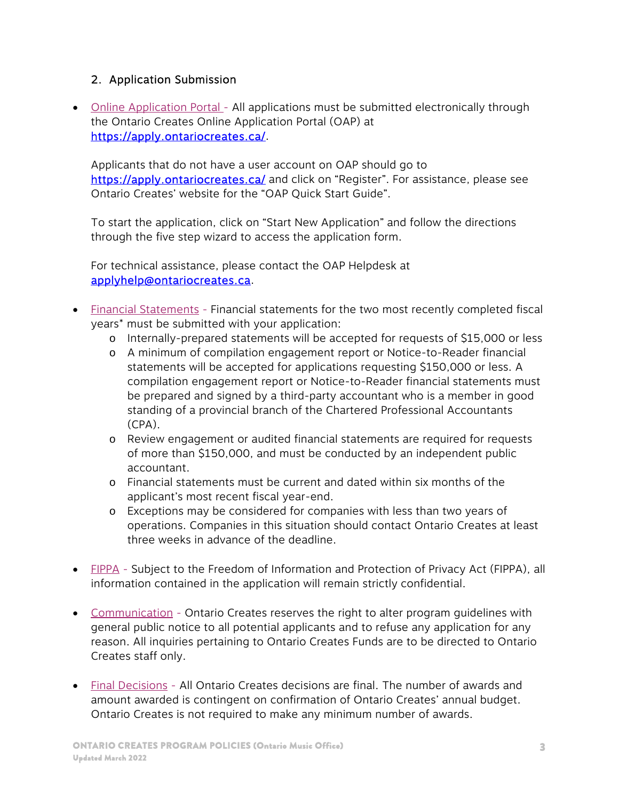### 2. Application Submission

• Online Application Portal - All applications must be submitted electronically through the Ontario Creates Online Application Portal (OAP) at https://apply.ontariocreates.ca/.

Applicants that do not have a user account on OAP should go to https://apply.ontariocreates.ca/ and click on "Register". For assistance, please see Ontario Creates' website for the "OAP Quick Start Guide".

To start the application, click on "Start New Application" and follow the directions through the five step wizard to access the application form.

For technical assistance, please contact the OAP Helpdesk at applyhelp@ontariocreates.ca.

- Financial Statements Financial statements for the two most recently completed fiscal years\* must be submitted with your application:
	- o Internally-prepared statements will be accepted for requests of \$15,000 or less
	- o A minimum of compilation engagement report or Notice-to-Reader financial statements will be accepted for applications requesting \$150,000 or less. A compilation engagement report or Notice-to-Reader financial statements must be prepared and signed by a third-party accountant who is a member in good standing of a provincial branch of the Chartered Professional Accountants (CPA).
	- o Review engagement or audited financial statements are required for requests of more than \$150,000, and must be conducted by an independent public accountant.
	- o Financial statements must be current and dated within six months of the applicant's most recent fiscal year-end.
	- o Exceptions may be considered for companies with less than two years of operations. Companies in this situation should contact Ontario Creates at least three weeks in advance of the deadline.
- FIPPA Subject to the Freedom of Information and Protection of Privacy Act (FIPPA), all information contained in the application will remain strictly confidential.
- Communication Ontario Creates reserves the right to alter program guidelines with general public notice to all potential applicants and to refuse any application for any reason. All inquiries pertaining to Ontario Creates Funds are to be directed to Ontario Creates staff only.
- Final Decisions All Ontario Creates decisions are final. The number of awards and amount awarded is contingent on confirmation of Ontario Creates' annual budget. Ontario Creates is not required to make any minimum number of awards.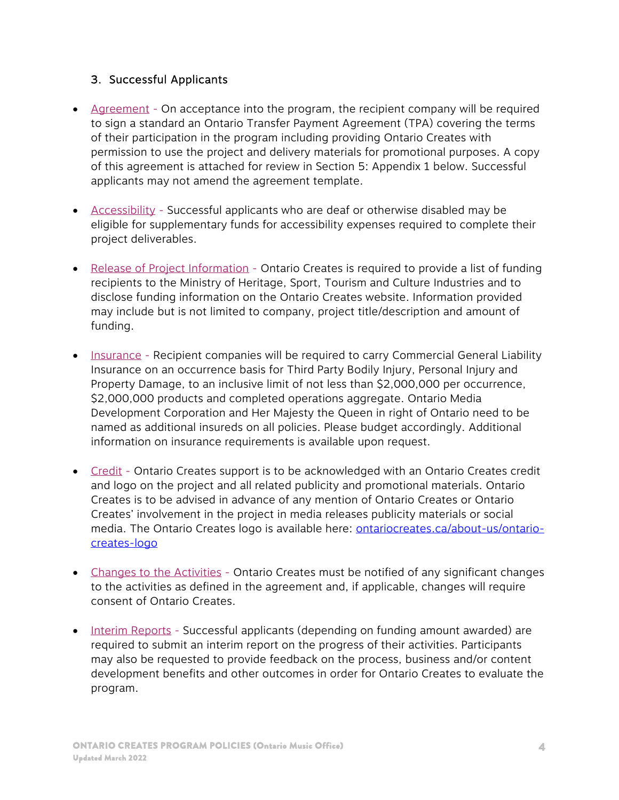#### 3. Successful Applicants

- Agreement On acceptance into the program, the recipient company will be required to sign a standard an Ontario Transfer Payment Agreement (TPA) covering the terms of their participation in the program including providing Ontario Creates with permission to use the project and delivery materials for promotional purposes. A copy of this agreement is attached for review in Section 5: Appendix 1 below. Successful applicants may not amend the agreement template.
- Accessibility Successful applicants who are deaf or otherwise disabled may be eligible for supplementary funds for accessibility expenses required to complete their project deliverables.
- Release of Project Information Ontario Creates is required to provide a list of funding recipients to the Ministry of Heritage, Sport, Tourism and Culture Industries and to disclose funding information on the Ontario Creates website. Information provided may include but is not limited to company, project title/description and amount of funding.
- Insurance Recipient companies will be required to carry Commercial General Liability Insurance on an occurrence basis for Third Party Bodily Injury, Personal Injury and Property Damage, to an inclusive limit of not less than \$2,000,000 per occurrence, \$2,000,000 products and completed operations aggregate. Ontario Media Development Corporation and Her Majesty the Queen in right of Ontario need to be named as additional insureds on all policies. Please budget accordingly. Additional information on insurance requirements is available upon request.
- Credit Ontario Creates support is to be acknowledged with an Ontario Creates credit and logo on the project and all related publicity and promotional materials. Ontario Creates is to be advised in advance of any mention of Ontario Creates or Ontario Creates' involvement in the project in media releases publicity materials or social media. The Ontario Creates logo is available here: **ontariocreates.ca/about-us/ontario**creates-logo
- Changes to the Activities Ontario Creates must be notified of any significant changes to the activities as defined in the agreement and, if applicable, changes will require consent of Ontario Creates.
- Interim Reports Successful applicants (depending on funding amount awarded) are required to submit an interim report on the progress of their activities. Participants may also be requested to provide feedback on the process, business and/or content development benefits and other outcomes in order for Ontario Creates to evaluate the program.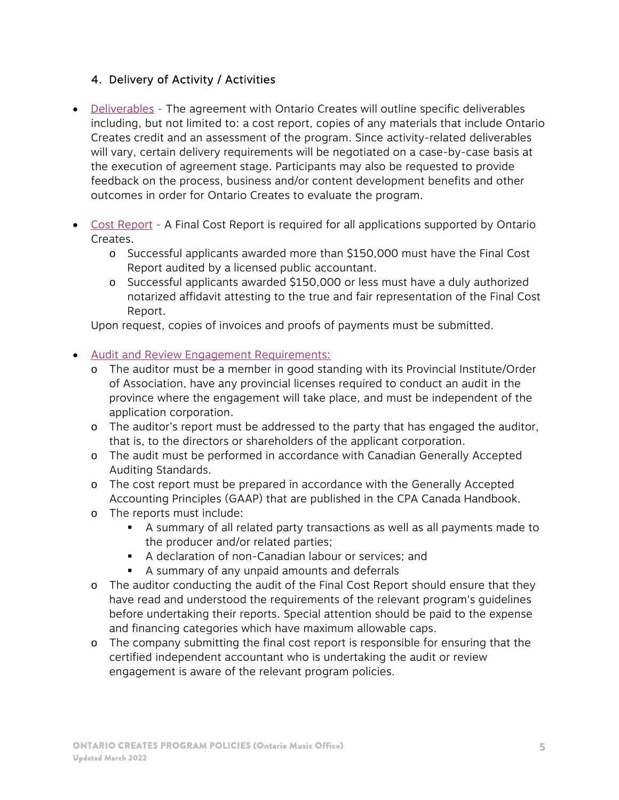# 4. Delivery of Activity / Activities

- Deliverables The agreement with Ontario Creates will outline specific deliverables including, but not limited to: a cost report, copies of any materials that include Ontario Creates credit and an assessment of the program. Since activity-related deliverables will vary, certain delivery requirements will be negotiated on a case-by-case basis at the execution of agreement stage. Participants may also be requested to provide feedback on the process, business and/or content development benefits and other outcomes in order for Ontario Creates to evaluate the program.
- Cost Report A Final Cost Report is required for all applications supported by Ontario Creates.
	- o Successful applicants awarded more than \$150,000 must have the Final Cost Report audited by a licensed public accountant.
	- o Successful applicants awarded \$150,000 or less must have a duly authorized notarized affidavit attesting to the true and fair representation of the Final Cost Report.

Upon request, copies of invoices and proofs of payments must be submitted.

# Audit and Review Engagement Requirements:

- o The auditor must be a member in good standing with its Provincial Institute/Order of Association, have any provincial licenses required to conduct an audit in the province where the engagement will take place, and must be independent of the application corporation.
- o The auditor's report must be addressed to the party that has engaged the auditor, that is, to the directors or shareholders of the applicant corporation.
- o The audit must be performed in accordance with Canadian Generally Accepted Auditing Standards.
- o The cost report must be prepared in accordance with the Generally Accepted Accounting Principles (GAAP) that are published in the CPA Canada Handbook.
- o The reports must include:
	- A summary of all related party transactions as well as all payments made to the producer and/or related parties;
	- A declaration of non-Canadian labour or services; and
	- A summary of any unpaid amounts and deferrals
- o The auditor conducting the audit of the Final Cost Report should ensure that they have read and understood the requirements of the relevant program's guidelines before undertaking their reports. Special attention should be paid to the expense and financing categories which have maximum allowable caps.
- o The company submitting the final cost report is responsible for ensuring that the certified independent accountant who is undertaking the audit or review engagement is aware of the relevant program policies.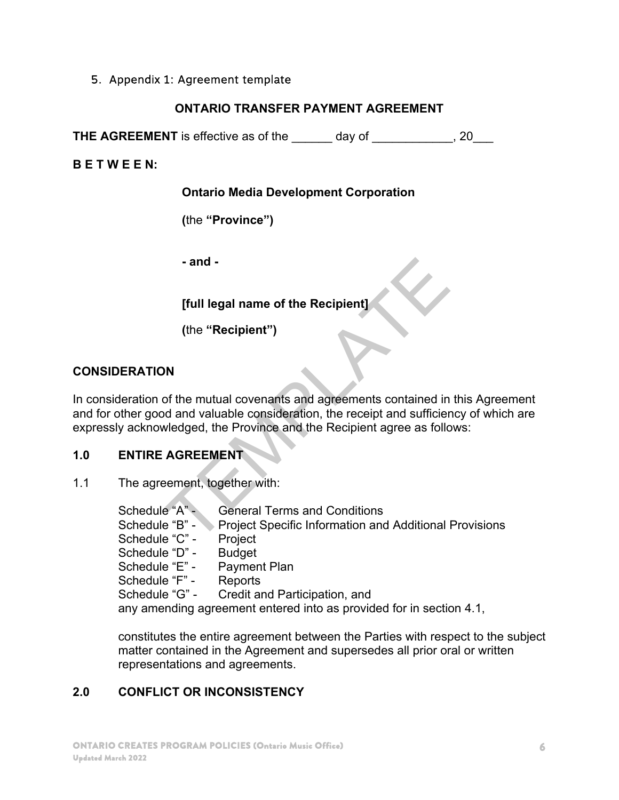#### 5. Appendix 1: Agreement template

#### **ONTARIO TRANSFER PAYMENT AGREEMENT**

**THE AGREEMENT** is effective as of the day of the day of the control of the state of the state of the state of the state of the state of the state of the state of the state of the state of the state of the state of the sta

**B E T W E E N:** 

**Ontario Media Development Corporation** 

**(**the **"Province")** 

**- and -** 

# **[full legal name of the Recipient]**

**(**the **"Recipient")** 

# **CONSIDERATION**

In consideration of the mutual covenants and agreements contained in this Agreement and for other good and valuable consideration, the receipt and sufficiency of which are expressly acknowledged, the Province and the Recipient agree as follows: - and -<br>
[full legal name of the Recipient]<br>
(the "Recipient")<br>
N<br>
N<br>
of the mutual covenants and agreements contained in<br>
d and valuable consideration, the receipt and sufficier<br>
vledged, the Province and the Recipient ag

# **1.0 ENTIRE AGREEMENT**

1.1 The agreement, together with:

| Schedule "A" -                                                      | <b>General Terms and Conditions</b>                           |  |
|---------------------------------------------------------------------|---------------------------------------------------------------|--|
| Schedule "B" - `                                                    | <b>Project Specific Information and Additional Provisions</b> |  |
| Schedule "C" -                                                      | Project                                                       |  |
| Schedule "D" -                                                      | <b>Budget</b>                                                 |  |
| Schedule "E" -                                                      | <b>Payment Plan</b>                                           |  |
| Schedule "F" -                                                      | Reports                                                       |  |
| Schedule "G" -                                                      | Credit and Participation, and                                 |  |
| any amending agreement entered into as provided for in section 4.1, |                                                               |  |

constitutes the entire agreement between the Parties with respect to the subject matter contained in the Agreement and supersedes all prior oral or written representations and agreements.

# **2.0 CONFLICT OR INCONSISTENCY**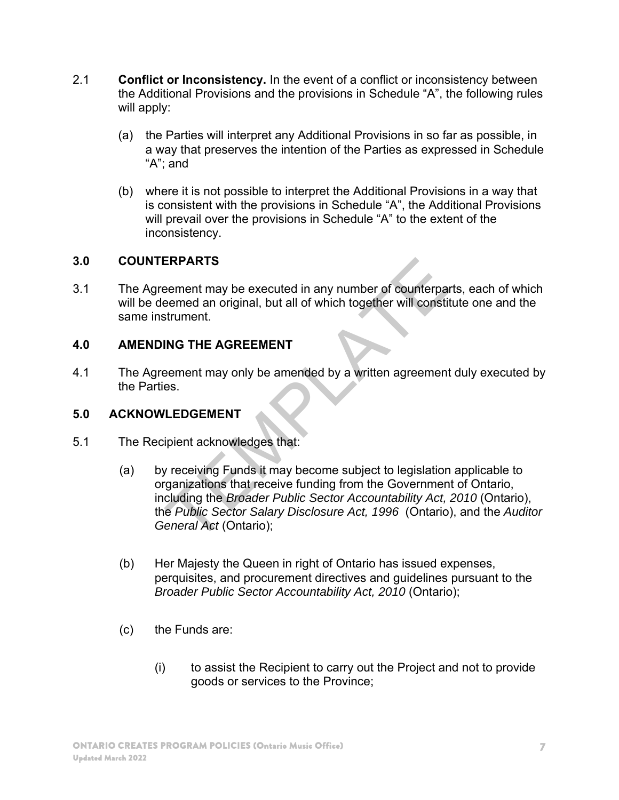- 2.1 **Conflict or Inconsistency.** In the event of a conflict or inconsistency between the Additional Provisions and the provisions in Schedule "A", the following rules will apply:
	- (a) the Parties will interpret any Additional Provisions in so far as possible, in a way that preserves the intention of the Parties as expressed in Schedule "A"; and
	- (b) where it is not possible to interpret the Additional Provisions in a way that is consistent with the provisions in Schedule "A", the Additional Provisions will prevail over the provisions in Schedule "A" to the extent of the inconsistency.

#### **3.0 COUNTERPARTS**

3.1 The Agreement may be executed in any number of counterparts, each of which will be deemed an original, but all of which together will constitute one and the same instrument.

#### **4.0 AMENDING THE AGREEMENT**

4.1 The Agreement may only be amended by a written agreement duly executed by the Parties.

#### **5.0 ACKNOWLEDGEMENT**

- 5.1 The Recipient acknowledges that:
- (a) by receiving Funds it may become subject to legislation applicable to organizations that receive funding from the Government of Ontario, including the *Broader Public Sector Accountability Act, 2010* (Ontario), the *Public Sector Salary Disclosure Act, 1996* (Ontario), and the *Auditor General Act* (Ontario); ERPARTS<br>
eement may be executed in any number of counterpare<br>
eement an original, but all of which together will constit<br>
trument.<br>
ING THE AGREEMENT<br>
eement may only be amended by a written agreement<br>
es.<br>
LEDGEMENT<br>
ipie
	- (b) Her Majesty the Queen in right of Ontario has issued expenses, perquisites, and procurement directives and guidelines pursuant to the *Broader Public Sector Accountability Act, 2010* (Ontario);
	- (c) the Funds are:
		- (i) to assist the Recipient to carry out the Project and not to provide goods or services to the Province;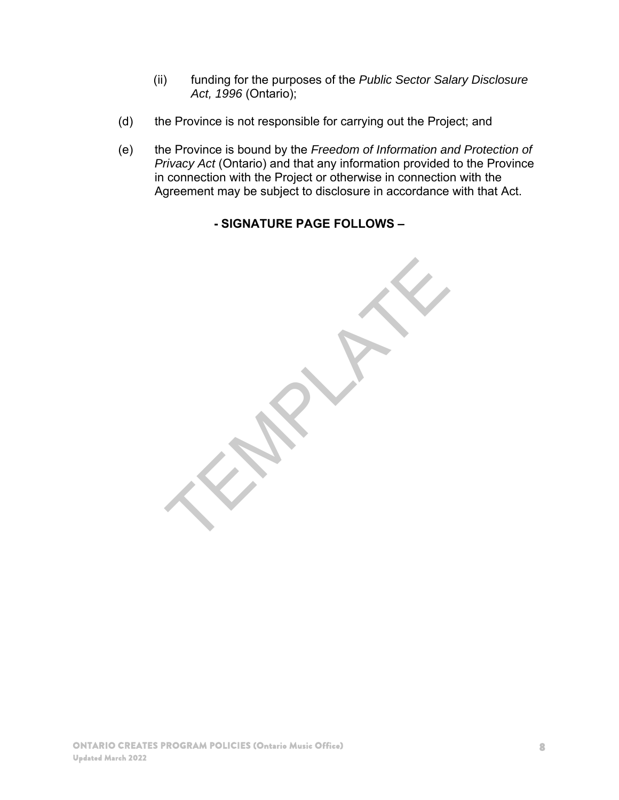- (ii) funding for the purposes of the *Public Sector Salary Disclosure Act, 1996* (Ontario);
- (d) the Province is not responsible for carrying out the Project; and
- (e) the Province is bound by the *Freedom of Information and Protection of Privacy Act* (Ontario) and that any information provided to the Province in connection with the Project or otherwise in connection with the Agreement may be subject to disclosure in accordance with that Act.

# **- SIGNATURE PAGE FOLLOWS –**

TEMPLATE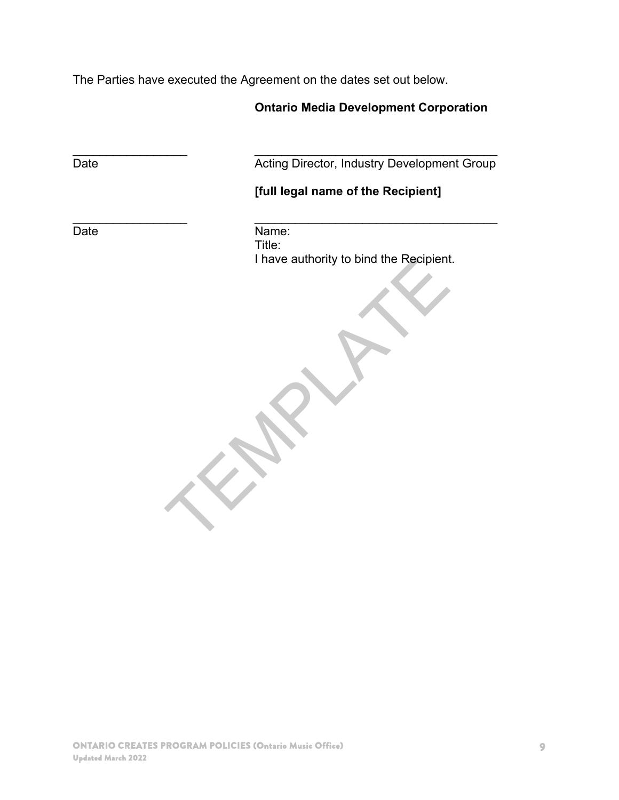The Parties have executed the Agreement on the dates set out below.

# **Ontario Media Development Corporation**

 $\mathcal{L}_\text{max}$  , and the contract of the contract of the contract of the contract of the contract of the contract of

Date **Date Acting Director, Industry Development Group** 

# **[full legal name of the Recipient]**

 $\frac{1}{2}$  ,  $\frac{1}{2}$  ,  $\frac{1}{2}$  ,  $\frac{1}{2}$  ,  $\frac{1}{2}$  ,  $\frac{1}{2}$  ,  $\frac{1}{2}$  ,  $\frac{1}{2}$  ,  $\frac{1}{2}$  ,  $\frac{1}{2}$  ,  $\frac{1}{2}$  ,  $\frac{1}{2}$  ,  $\frac{1}{2}$  ,  $\frac{1}{2}$  ,  $\frac{1}{2}$  ,  $\frac{1}{2}$  ,  $\frac{1}{2}$  ,  $\frac{1}{2}$  ,  $\frac{1$ 

Date Name:

Title: I have authority to bind the Recipient. Thave authority to bind the Recipient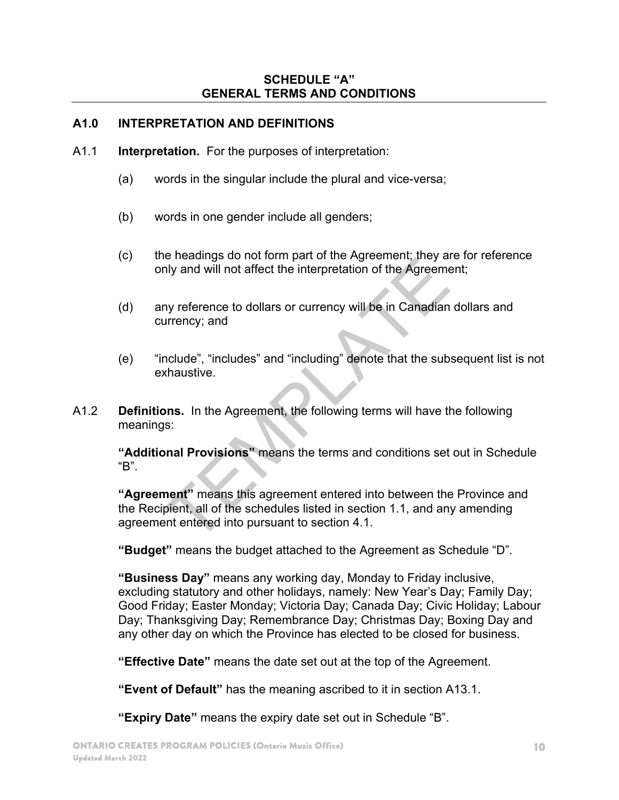#### **SCHEDULE "A" GENERAL TERMS AND CONDITIONS**

#### **A1.0 INTERPRETATION AND DEFINITIONS**

- A1.1 **Interpretation.** For the purposes of interpretation:
	- (a) words in the singular include the plural and vice-versa;
	- (b) words in one gender include all genders;
	- (c) the headings do not form part of the Agreement; they are for reference only and will not affect the interpretation of the Agreement;
	- (d) any reference to dollars or currency will be in Canadian dollars and currency; and
	- (e) "include", "includes" and "including" denote that the subsequent list is not exhaustive.
- A1.2 **Definitions.** In the Agreement, the following terms will have the following meanings:

**"Additional Provisions"** means the terms and conditions set out in Schedule "B".

**"Agreement"** means this agreement entered into between the Province and the Recipient, all of the schedules listed in section 1.1, and any amending agreement entered into pursuant to section 4.1. of including the interpretation of the Agreement<br>were divided will not affect the interpretation of the Agreement<br>were the divided of the Agreement<br>autrency; and<br>clude", "includes" and "including" denote that the sub<br>chaus

**"Budget"** means the budget attached to the Agreement as Schedule "D".

**"Business Day"** means any working day, Monday to Friday inclusive, excluding statutory and other holidays, namely: New Year's Day; Family Day; Good Friday; Easter Monday; Victoria Day; Canada Day; Civic Holiday; Labour Day; Thanksgiving Day; Remembrance Day; Christmas Day; Boxing Day and any other day on which the Province has elected to be closed for business.

**"Effective Date"** means the date set out at the top of the Agreement.

**"Event of Default"** has the meaning ascribed to it in section A13.1.

**"Expiry Date"** means the expiry date set out in Schedule "B".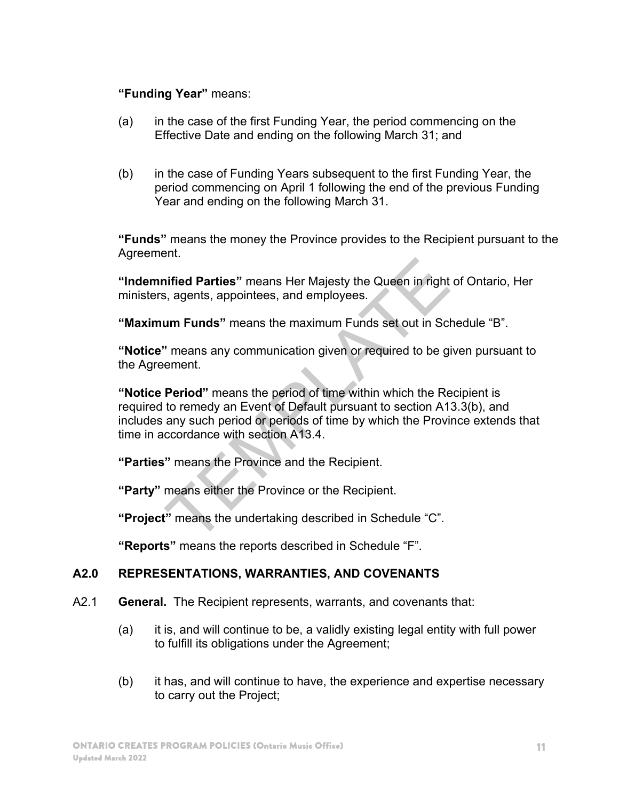#### **"Funding Year"** means:

- (a) in the case of the first Funding Year, the period commencing on the Effective Date and ending on the following March 31; and
- (b) in the case of Funding Years subsequent to the first Funding Year, the period commencing on April 1 following the end of the previous Funding Year and ending on the following March 31.

**"Funds"** means the money the Province provides to the Recipient pursuant to the Agreement.

**"Indemnified Parties"** means Her Majesty the Queen in right of Ontario, Her ministers, agents, appointees, and employees.

**"Maximum Funds"** means the maximum Funds set out in Schedule "B".

**"Notice"** means any communication given or required to be given pursuant to the Agreement.

**"Notice Period"** means the period of time within which the Recipient is required to remedy an Event of Default pursuant to section A13.3(b), and includes any such period or periods of time by which the Province extends that time in accordance with section A13.4. infied Parties" means Her Majesty the Queen in right<br>
infied Parties" means the maximum Funds set out in Scl<br>
2. mum Funds" means the maximum Funds set out in Scl<br>
1. means any communication given or required to be given<br>

**"Parties"** means the Province and the Recipient.

**"Party"** means either the Province or the Recipient.

**"Project"** means the undertaking described in Schedule "C".

**"Reports"** means the reports described in Schedule "F".

#### **A2.0 REPRESENTATIONS, WARRANTIES, AND COVENANTS**

- A2.1 **General.** The Recipient represents, warrants, and covenants that:
	- (a) it is, and will continue to be, a validly existing legal entity with full power to fulfill its obligations under the Agreement;
	- (b) it has, and will continue to have, the experience and expertise necessary to carry out the Project;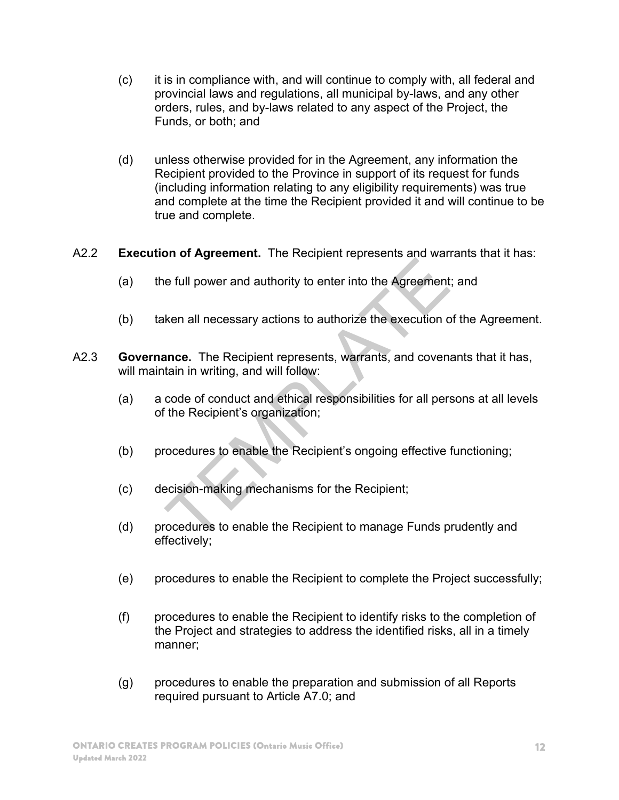- (c) it is in compliance with, and will continue to comply with, all federal and provincial laws and regulations, all municipal by-laws, and any other orders, rules, and by-laws related to any aspect of the Project, the Funds, or both; and
- (d) unless otherwise provided for in the Agreement, any information the Recipient provided to the Province in support of its request for funds (including information relating to any eligibility requirements) was true and complete at the time the Recipient provided it and will continue to be true and complete.
- A2.2 **Execution of Agreement.** The Recipient represents and warrants that it has:
	- (a) the full power and authority to enter into the Agreement; and
	- (b) taken all necessary actions to authorize the execution of the Agreement.
- A2.3 **Governance.** The Recipient represents, warrants, and covenants that it has, will maintain in writing, and will follow: e full power and authority to enter into the Agreement<br>
ken all necessary actions to authorize the execution of<br>
ance. The Recipient represents, warrants, and coventain in writing, and will follow:<br>
code of conduct and eth
	- (a) a code of conduct and ethical responsibilities for all persons at all levels of the Recipient's organization;
	- (b) procedures to enable the Recipient's ongoing effective functioning;
	- (c) decision-making mechanisms for the Recipient;
	- (d) procedures to enable the Recipient to manage Funds prudently and effectively;
	- (e) procedures to enable the Recipient to complete the Project successfully;
	- (f) procedures to enable the Recipient to identify risks to the completion of the Project and strategies to address the identified risks, all in a timely manner;
	- (g) procedures to enable the preparation and submission of all Reports required pursuant to Article A7.0; and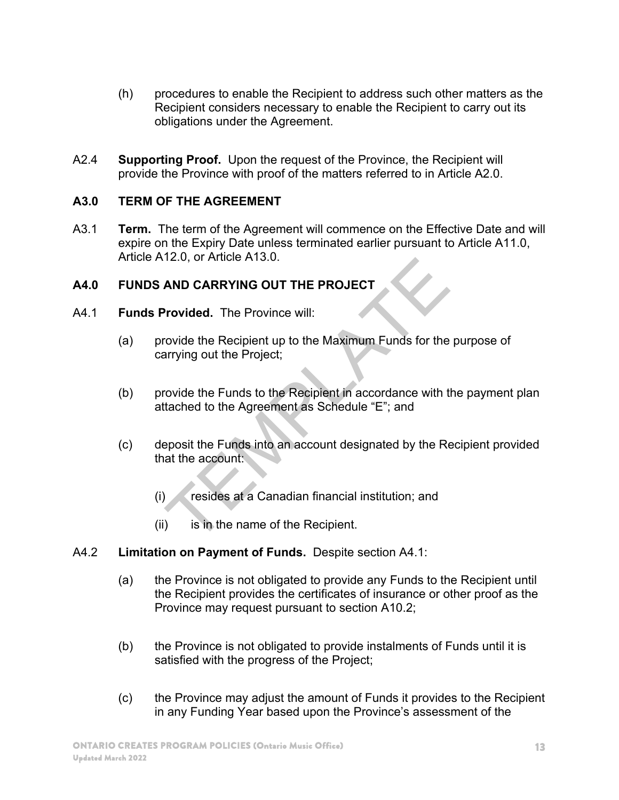- (h) procedures to enable the Recipient to address such other matters as the Recipient considers necessary to enable the Recipient to carry out its obligations under the Agreement.
- A2.4 **Supporting Proof.** Upon the request of the Province, the Recipient will provide the Province with proof of the matters referred to in Article A2.0.

#### **A3.0 TERM OF THE AGREEMENT**

A3.1 **Term.** The term of the Agreement will commence on the Effective Date and will expire on the Expiry Date unless terminated earlier pursuant to Article A11.0, Article A12.0, or Article A13.0.

# **A4.0 FUNDS AND CARRYING OUT THE PROJECT**

- A4.1 **Funds Provided.** The Province will:
	- (a) provide the Recipient up to the Maximum Funds for the purpose of carrying out the Project;
	- (b) provide the Funds to the Recipient in accordance with the payment plan attached to the Agreement as Schedule "E"; and
- (c) deposit the Funds into an account designated by the Recipient provided that the account: The Province Will:<br>
NAID CARRYING OUT THE PROJECT<br>
Trovided. The Province will:<br>
Trovide the Recipient up to the Maximum Funds for the<br>
Trovide the Funds to the Recipient in accordance with the<br>
tached to the Agreement as
	- (i) resides at a Canadian financial institution; and
	- (ii) is in the name of the Recipient.
- A4.2 **Limitation on Payment of Funds.** Despite section A4.1:
	- (a) the Province is not obligated to provide any Funds to the Recipient until the Recipient provides the certificates of insurance or other proof as the Province may request pursuant to section A10.2;
	- (b) the Province is not obligated to provide instalments of Funds until it is satisfied with the progress of the Project;
	- (c) the Province may adjust the amount of Funds it provides to the Recipient in any Funding Year based upon the Province's assessment of the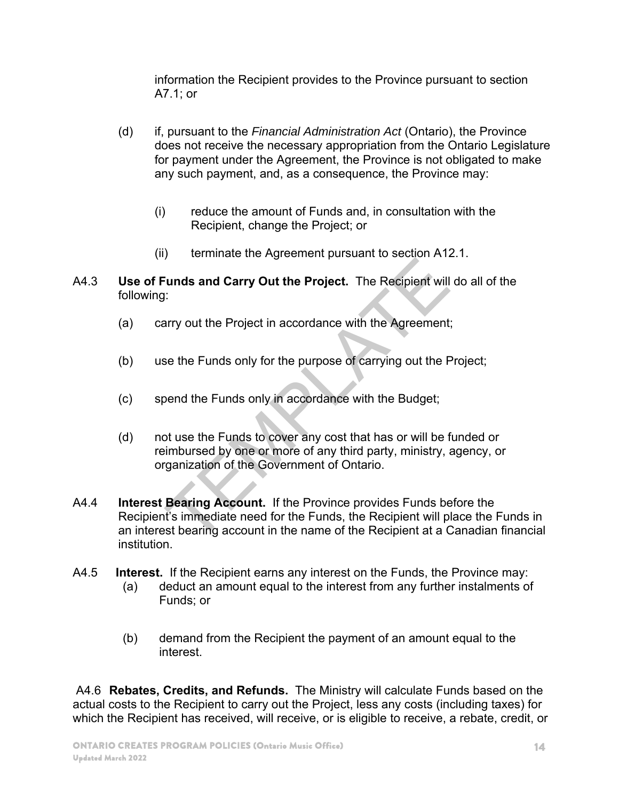information the Recipient provides to the Province pursuant to section A7.1; or

- (d) if, pursuant to the *Financial Administration Act* (Ontario), the Province does not receive the necessary appropriation from the Ontario Legislature for payment under the Agreement, the Province is not obligated to make any such payment, and, as a consequence, the Province may:
	- (i) reduce the amount of Funds and, in consultation with the Recipient, change the Project; or
	- (ii) terminate the Agreement pursuant to section A12.1.
- A4.3 **Use of Funds and Carry Out the Project.** The Recipient will do all of the following:
	- (a) carry out the Project in accordance with the Agreement;
	- (b) use the Funds only for the purpose of carrying out the Project;
	- (c) spend the Funds only in accordance with the Budget;
	- (d) not use the Funds to cover any cost that has or will be funded or reimbursed by one or more of any third party, ministry, agency, or organization of the Government of Ontario.
- A4.4 **Interest Bearing Account.** If the Province provides Funds before the Recipient's immediate need for the Funds, the Recipient will place the Funds in an interest bearing account in the name of the Recipient at a Canadian financial institution. Fig. 2011 and Carry Out the Project. The Recipient will<br>Transfer and Carry Out the Project. The Recipient will<br>The Agreement<br>See the Funds only for the purpose of carrying out the F<br>Dend the Funds only in accordance with t
- A4.5 **Interest.** If the Recipient earns any interest on the Funds, the Province may:
	- (a) deduct an amount equal to the interest from any further instalments of Funds; or
	- (b) demand from the Recipient the payment of an amount equal to the interest.

 A4.6 **Rebates, Credits, and Refunds.** The Ministry will calculate Funds based on the actual costs to the Recipient to carry out the Project, less any costs (including taxes) for which the Recipient has received, will receive, or is eligible to receive, a rebate, credit, or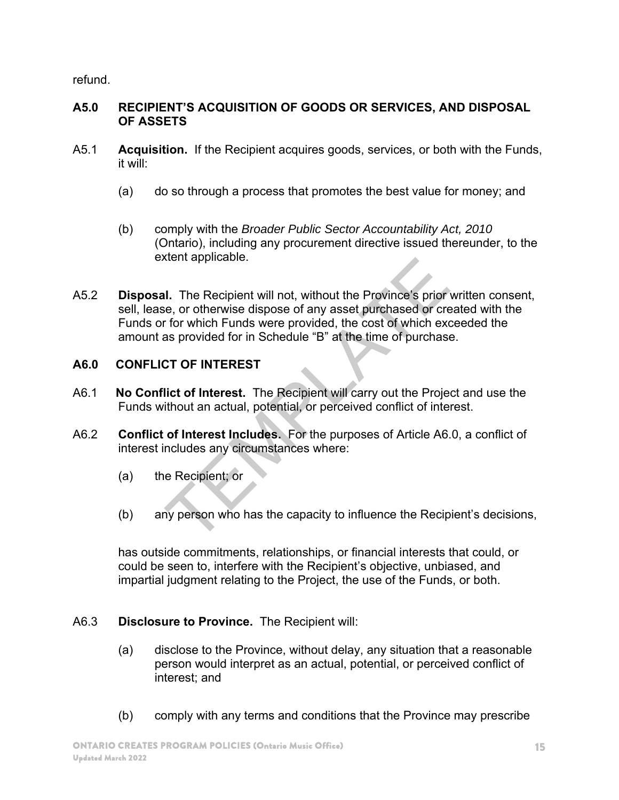refund.

#### **A5.0 RECIPIENT'S ACQUISITION OF GOODS OR SERVICES, AND DISPOSAL OF ASSETS**

- A5.1 **Acquisition.** If the Recipient acquires goods, services, or both with the Funds, it will:
	- (a) do so through a process that promotes the best value for money; and
	- (b) comply with the *Broader Public Sector Accountability Act, 2010*  (Ontario), including any procurement directive issued thereunder, to the extent applicable.
- A5.2 **Disposal.** The Recipient will not, without the Province's prior written consent, sell, lease, or otherwise dispose of any asset purchased or created with the Funds or for which Funds were provided, the cost of which exceeded the amount as provided for in Schedule "B" at the time of purchase. I. The Recipient will not, without the Province's prior<br>
i.e., or otherwise dispose of any asset purchased or creament for which Funds were provided, the cost of which exas<br>
as provided for in Schedule "B" at the time of p

# **A6.0 CONFLICT OF INTEREST**

- A6.1 **No Conflict of Interest.** The Recipient will carry out the Project and use the Funds without an actual, potential, or perceived conflict of interest.
- A6.2 **Conflict of Interest Includes.** For the purposes of Article A6.0, a conflict of interest includes any circumstances where:
	- (a) the Recipient; or
	- (b) any person who has the capacity to influence the Recipient's decisions,

has outside commitments, relationships, or financial interests that could, or could be seen to, interfere with the Recipient's objective, unbiased, and impartial judgment relating to the Project, the use of the Funds, or both.

# A6.3 **Disclosure to Province.** The Recipient will:

- (a) disclose to the Province, without delay, any situation that a reasonable person would interpret as an actual, potential, or perceived conflict of interest; and
- (b) comply with any terms and conditions that the Province may prescribe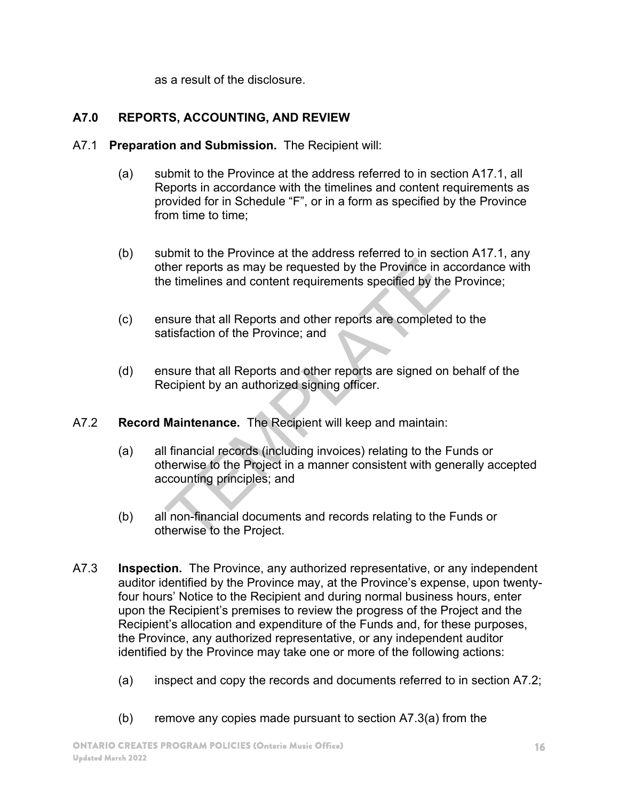as a result of the disclosure.

# **A7.0 REPORTS, ACCOUNTING, AND REVIEW**

- A7.1 **Preparation and Submission.** The Recipient will:
	- (a) submit to the Province at the address referred to in section A17.1, all Reports in accordance with the timelines and content requirements as provided for in Schedule "F", or in a form as specified by the Province from time to time;
	- (b) submit to the Province at the address referred to in section A17.1, any other reports as may be requested by the Province in accordance with the timelines and content requirements specified by the Province;
	- (c) ensure that all Reports and other reports are completed to the satisfaction of the Province; and
	- (d) ensure that all Reports and other reports are signed on behalf of the Recipient by an authorized signing officer.
- A7.2 **Record Maintenance.** The Recipient will keep and maintain:
- (a) all financial records (including invoices) relating to the Funds or otherwise to the Project in a manner consistent with generally accepted accounting principles; and Ther reports as may be requested by the Province in a<br>e timelines and content requirements specified by the<br>surre that all Reports and other reports are completed<br>tisfaction of the Province; and<br>surre that all Reports and
	- (b) all non-financial documents and records relating to the Funds or otherwise to the Project.
- A7.3 **Inspection.** The Province, any authorized representative, or any independent auditor identified by the Province may, at the Province's expense, upon twentyfour hours' Notice to the Recipient and during normal business hours, enter upon the Recipient's premises to review the progress of the Project and the Recipient's allocation and expenditure of the Funds and, for these purposes, the Province, any authorized representative, or any independent auditor identified by the Province may take one or more of the following actions:
	- (a) inspect and copy the records and documents referred to in section A7.2;
	- (b) remove any copies made pursuant to section A7.3(a) from the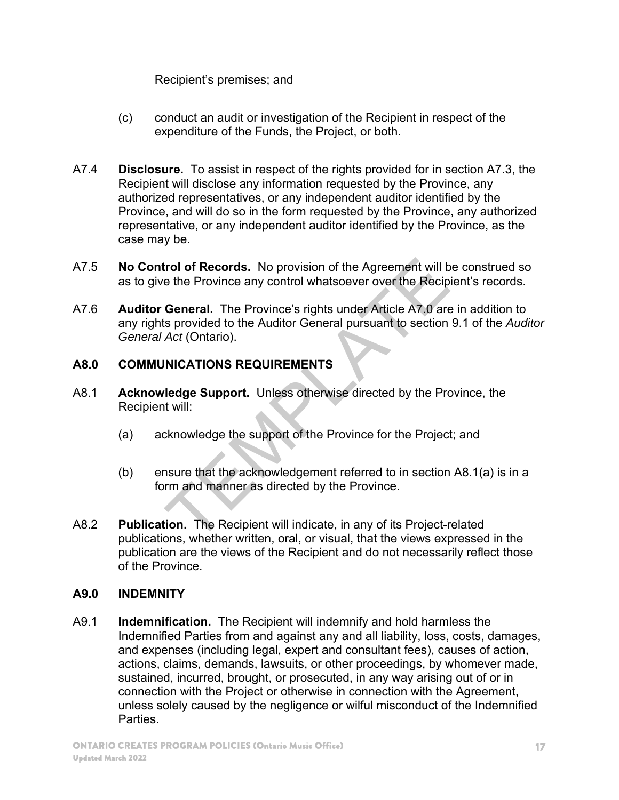Recipient's premises; and

- (c) conduct an audit or investigation of the Recipient in respect of the expenditure of the Funds, the Project, or both.
- A7.4 **Disclosure.** To assist in respect of the rights provided for in section A7.3, the Recipient will disclose any information requested by the Province, any authorized representatives, or any independent auditor identified by the Province, and will do so in the form requested by the Province, any authorized representative, or any independent auditor identified by the Province, as the case may be.
- A7.5 **No Control of Records.** No provision of the Agreement will be construed so as to give the Province any control whatsoever over the Recipient's records.
- A7.6 **Auditor General.** The Province's rights under Article A7.0 are in addition to any rights provided to the Auditor General pursuant to section 9.1 of the *Auditor General Act* (Ontario). **The Province and Solution** of the Agreement will be the Province any control whatsoever over the Recip<br> **General.** The Province's rights under Article A7.0 are<br>
s provided to the Auditor General pursuant to section<br>
Act (

# **A8.0 COMMUNICATIONS REQUIREMENTS**

- A8.1 **Acknowledge Support.** Unless otherwise directed by the Province, the Recipient will:
	- (a) acknowledge the support of the Province for the Project; and
	- (b) ensure that the acknowledgement referred to in section A8.1(a) is in a form and manner as directed by the Province.
- A8.2 **Publication.** The Recipient will indicate, in any of its Project-related publications, whether written, oral, or visual, that the views expressed in the publication are the views of the Recipient and do not necessarily reflect those of the Province.

# **A9.0 INDEMNITY**

A9.1 **Indemnification.** The Recipient will indemnify and hold harmless the Indemnified Parties from and against any and all liability, loss, costs, damages, and expenses (including legal, expert and consultant fees), causes of action, actions, claims, demands, lawsuits, or other proceedings, by whomever made, sustained, incurred, brought, or prosecuted, in any way arising out of or in connection with the Project or otherwise in connection with the Agreement, unless solely caused by the negligence or wilful misconduct of the Indemnified **Parties**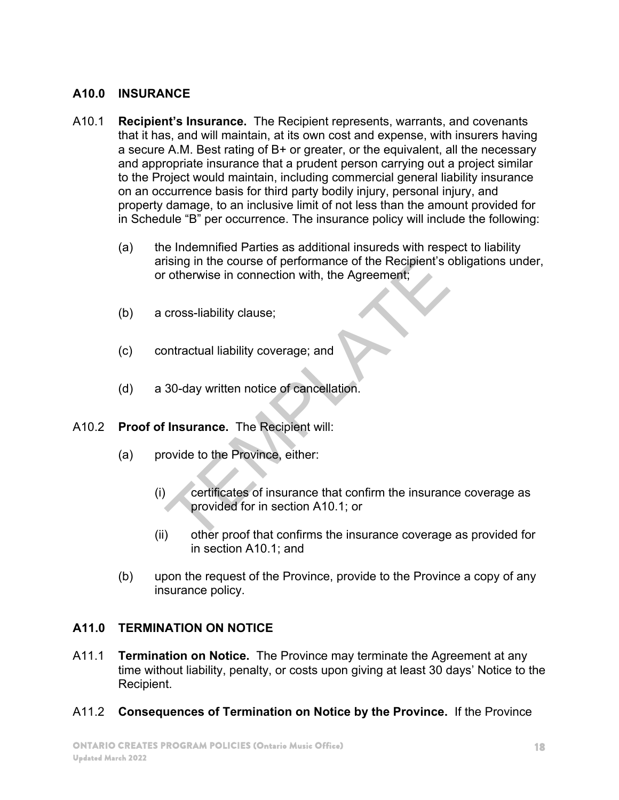#### **A10.0 INSURANCE**

- A10.1 **Recipient's Insurance.** The Recipient represents, warrants, and covenants that it has, and will maintain, at its own cost and expense, with insurers having a secure A.M. Best rating of B+ or greater, or the equivalent, all the necessary and appropriate insurance that a prudent person carrying out a project similar to the Project would maintain, including commercial general liability insurance on an occurrence basis for third party bodily injury, personal injury, and property damage, to an inclusive limit of not less than the amount provided for in Schedule "B" per occurrence. The insurance policy will include the following:
	- (a) the Indemnified Parties as additional insureds with respect to liability arising in the course of performance of the Recipient's obligations under, or otherwise in connection with, the Agreement;
	- (b) a cross-liability clause;
	- (c) contractual liability coverage; and
	- (d) a 30-day written notice of cancellation.
- A10.2 **Proof of Insurance.** The Recipient will:
	- (a) provide to the Province, either:
- $(i)$  certificates of insurance that confirm the insurance coverage as provided for in section A10.1; or ising in the course of performance of the Recipient's cotherwise in connection with, the Agreement;<br>cross-liability clause;<br>ontractual liability coverage; and<br>30-day written notice of cancellation.<br>**Insurance**. The Recipie
	- (ii) other proof that confirms the insurance coverage as provided for in section A10.1; and
	- (b) upon the request of the Province, provide to the Province a copy of any insurance policy.

# **A11.0 TERMINATION ON NOTICE**

- A11.1 **Termination on Notice.** The Province may terminate the Agreement at any time without liability, penalty, or costs upon giving at least 30 days' Notice to the Recipient.
- A11.2 **Consequences of Termination on Notice by the Province.** If the Province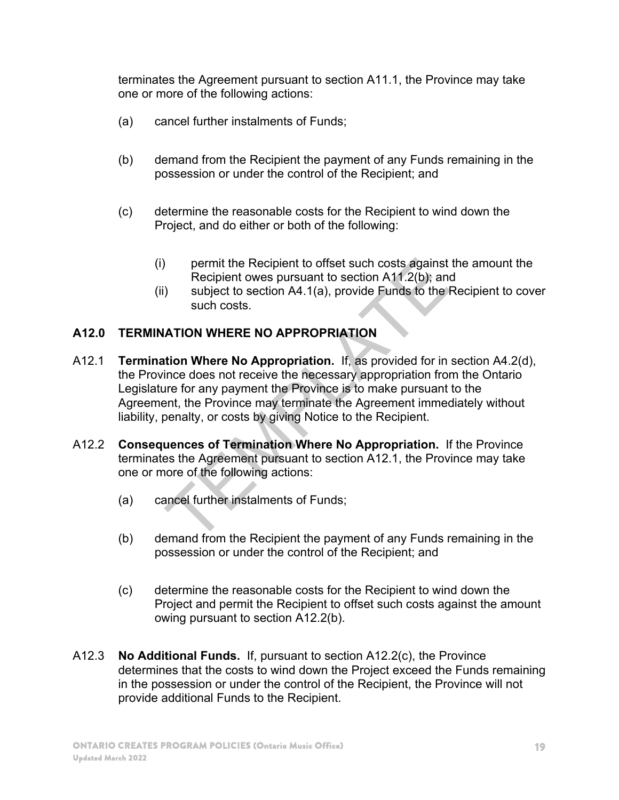terminates the Agreement pursuant to section A11.1, the Province may take one or more of the following actions:

- (a) cancel further instalments of Funds;
- (b) demand from the Recipient the payment of any Funds remaining in the possession or under the control of the Recipient; and
- (c) determine the reasonable costs for the Recipient to wind down the Project, and do either or both of the following:
	- (i) permit the Recipient to offset such costs against the amount the Recipient owes pursuant to section A11.2(b); and
	- (ii) subject to section A4.1(a), provide Funds to the Recipient to cover such costs.

# **A12.0 TERMINATION WHERE NO APPROPRIATION**

- A12.1 **Termination Where No Appropriation.** If, as provided for in section A4.2(d), the Province does not receive the necessary appropriation from the Ontario Legislature for any payment the Province is to make pursuant to the Agreement, the Province may terminate the Agreement immediately without liability, penalty, or costs by giving Notice to the Recipient. permit the Recipient to offset such costs against<br>Recipient owes pursuant to section A11.2(b); and<br>subject to section A4.1(a), provide Funds to the I<br>such costs.<br>ATION WHERE NO APPROPRIATION<br>tion Where No Appropriation. If
- A12.2 **Consequences of Termination Where No Appropriation.** If the Province terminates the Agreement pursuant to section A12.1, the Province may take one or more of the following actions:
	- (a) cancel further instalments of Funds;
	- (b) demand from the Recipient the payment of any Funds remaining in the possession or under the control of the Recipient; and
	- (c) determine the reasonable costs for the Recipient to wind down the Project and permit the Recipient to offset such costs against the amount owing pursuant to section A12.2(b).
- A12.3 **No Additional Funds.** If, pursuant to section A12.2(c), the Province determines that the costs to wind down the Project exceed the Funds remaining in the possession or under the control of the Recipient, the Province will not provide additional Funds to the Recipient.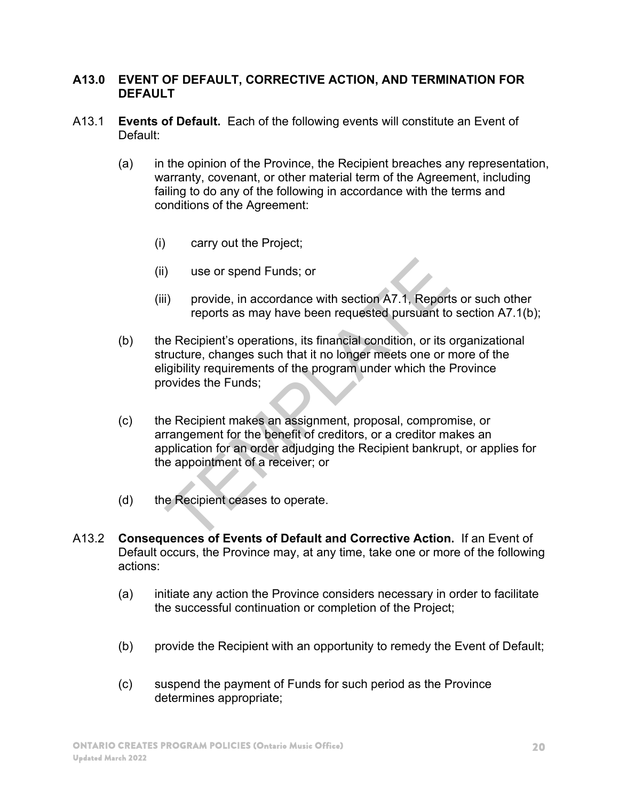#### **A13.0 EVENT OF DEFAULT, CORRECTIVE ACTION, AND TERMINATION FOR DEFAULT**

- A13.1 **Events of Default.** Each of the following events will constitute an Event of Default:
	- (a) in the opinion of the Province, the Recipient breaches any representation, warranty, covenant, or other material term of the Agreement, including failing to do any of the following in accordance with the terms and conditions of the Agreement:
		- (i) carry out the Project;
		- (ii) use or spend Funds; or
		- (iii) provide, in accordance with section A7.1, Reports or such other reports as may have been requested pursuant to section A7.1(b);
	- (b) the Recipient's operations, its financial condition, or its organizational structure, changes such that it no longer meets one or more of the eligibility requirements of the program under which the Province provides the Funds; (a) provide, in accordance with section A7.1, Report<br>i) provide, in accordance with section A7.1, Report<br>reports as may have been requested pursuant to<br>e Recipient's operations, its financial condition, or its<br>ructure, cha
	- (c) the Recipient makes an assignment, proposal, compromise, or arrangement for the benefit of creditors, or a creditor makes an application for an order adjudging the Recipient bankrupt, or applies for the appointment of a receiver; or
	- (d) the Recipient ceases to operate.
- A13.2 **Consequences of Events of Default and Corrective Action.** If an Event of Default occurs, the Province may, at any time, take one or more of the following actions:
	- (a) initiate any action the Province considers necessary in order to facilitate the successful continuation or completion of the Project;
	- (b) provide the Recipient with an opportunity to remedy the Event of Default;
	- (c) suspend the payment of Funds for such period as the Province determines appropriate;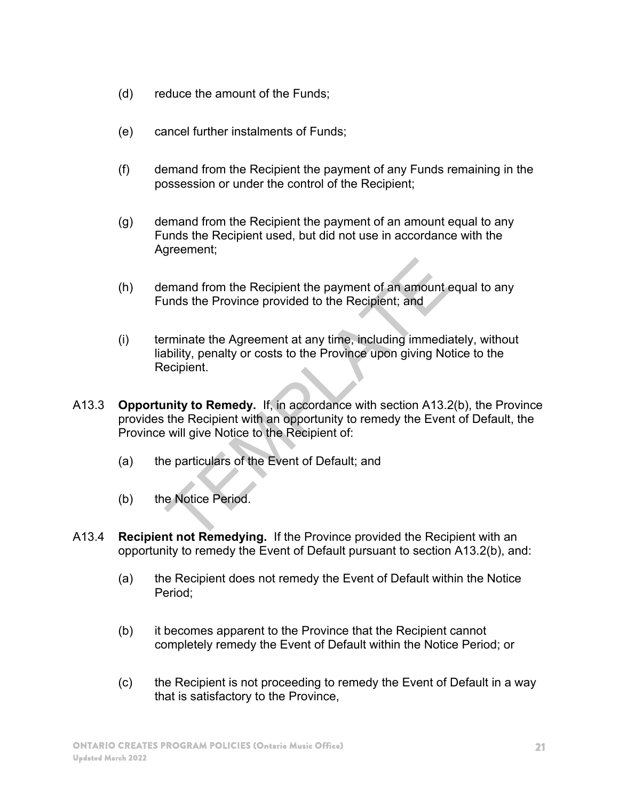- (d) reduce the amount of the Funds;
- (e) cancel further instalments of Funds;
- (f) demand from the Recipient the payment of any Funds remaining in the possession or under the control of the Recipient;
- (g) demand from the Recipient the payment of an amount equal to any Funds the Recipient used, but did not use in accordance with the Agreement;
- (h) demand from the Recipient the payment of an amount equal to any Funds the Province provided to the Recipient; and
- (i) terminate the Agreement at any time, including immediately, without liability, penalty or costs to the Province upon giving Notice to the Recipient. eral from the Recipient the payment of an amount eral and sthe Province provided to the Recipient; and<br>
rminate the Agreement at any time, including immedia<br>
bility, penalty or costs to the Province upon giving No<br>
ecipien
- A13.3 **Opportunity to Remedy.** If, in accordance with section A13.2(b), the Province provides the Recipient with an opportunity to remedy the Event of Default, the Province will give Notice to the Recipient of:
	- (a) the particulars of the Event of Default; and
	- (b) the Notice Period.
- A13.4 **Recipient not Remedying.** If the Province provided the Recipient with an opportunity to remedy the Event of Default pursuant to section A13.2(b), and:
	- (a) the Recipient does not remedy the Event of Default within the Notice Period;
	- (b) it becomes apparent to the Province that the Recipient cannot completely remedy the Event of Default within the Notice Period; or
	- (c) the Recipient is not proceeding to remedy the Event of Default in a way that is satisfactory to the Province,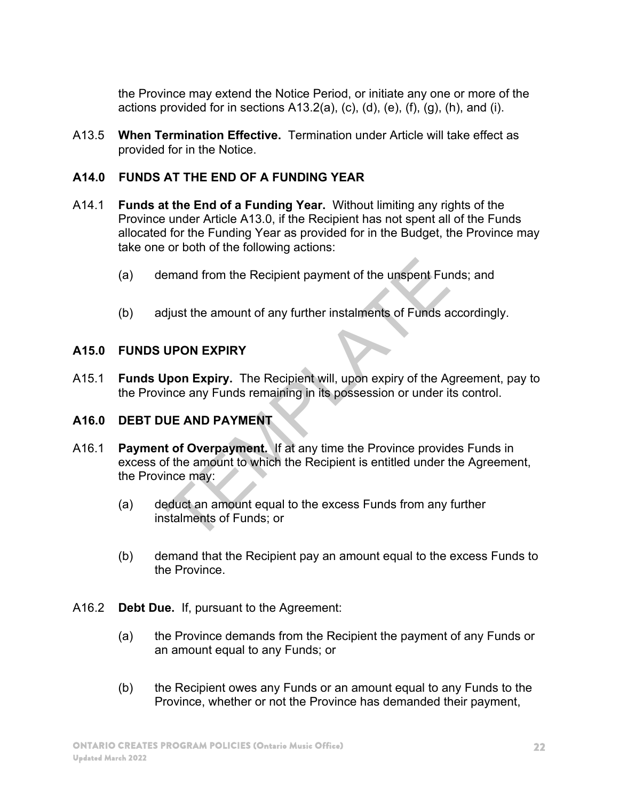the Province may extend the Notice Period, or initiate any one or more of the actions provided for in sections  $A13.2(a)$ , (c), (d), (e), (f), (g), (h), and (i).

A13.5 **When Termination Effective.** Termination under Article will take effect as provided for in the Notice.

# **A14.0 FUNDS AT THE END OF A FUNDING YEAR**

- A14.1 **Funds at the End of a Funding Year.** Without limiting any rights of the Province under Article A13.0, if the Recipient has not spent all of the Funds allocated for the Funding Year as provided for in the Budget, the Province may take one or both of the following actions:
	- (a) demand from the Recipient payment of the unspent Funds; and
	- (b) adjust the amount of any further instalments of Funds accordingly.

#### **A15.0 FUNDS UPON EXPIRY**

A15.1 **Funds Upon Expiry.** The Recipient will, upon expiry of the Agreement, pay to the Province any Funds remaining in its possession or under its control.

#### **A16.0 DEBT DUE AND PAYMENT**

- A16.1 **Payment of Overpayment.** If at any time the Province provides Funds in excess of the amount to which the Recipient is entitled under the Agreement, the Province may: Frameword from the Recipient payment of the unspent Fure<br>
Fure digits the amount of any further instalments of Funds a<br>
UPON EXPIRY<br>
IPON EXPIRY<br>
IPON EXPIRY<br>
IPON EXPIRY<br>
IPON EXPIRY<br>
IPON EXPIRY<br>
IPON EXPIRY<br>
IPON EXPIRY
	- (a) deduct an amount equal to the excess Funds from any further instalments of Funds; or
	- (b) demand that the Recipient pay an amount equal to the excess Funds to the Province.
- A16.2 **Debt Due.** If, pursuant to the Agreement:
	- (a) the Province demands from the Recipient the payment of any Funds or an amount equal to any Funds; or
	- (b) the Recipient owes any Funds or an amount equal to any Funds to the Province, whether or not the Province has demanded their payment,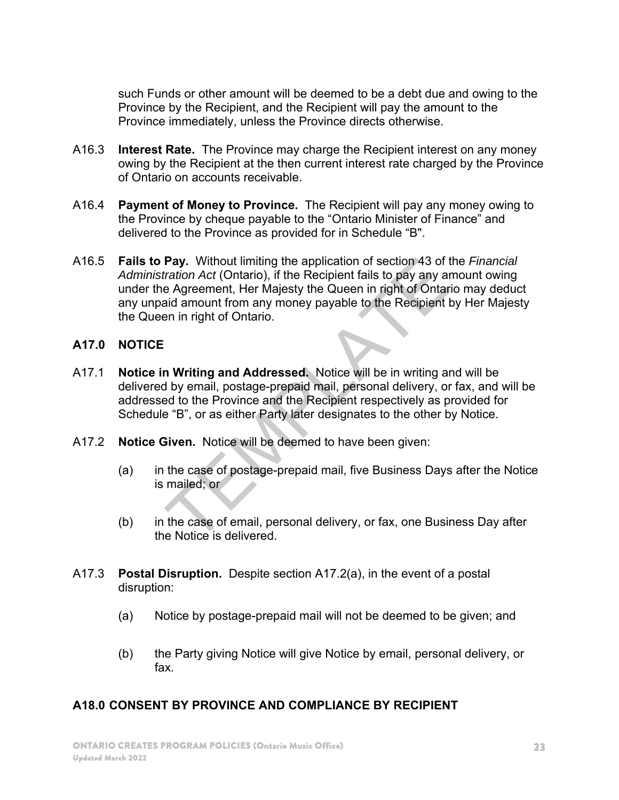such Funds or other amount will be deemed to be a debt due and owing to the Province by the Recipient, and the Recipient will pay the amount to the Province immediately, unless the Province directs otherwise.

- A16.3 **Interest Rate.** The Province may charge the Recipient interest on any money owing by the Recipient at the then current interest rate charged by the Province of Ontario on accounts receivable.
- A16.4 **Payment of Money to Province.** The Recipient will pay any money owing to the Province by cheque payable to the "Ontario Minister of Finance" and delivered to the Province as provided for in Schedule "B".
- A16.5 **Fails to Pay.** Without limiting the application of section 43 of the *Financial Administration Act* (Ontario), if the Recipient fails to pay any amount owing under the Agreement, Her Majesty the Queen in right of Ontario may deduct any unpaid amount from any money payable to the Recipient by Her Majesty the Queen in right of Ontario. **Pay.** Without limiting the application of section 43 of tration Act (Ontario), if the Recipient fails to pay any and Adgreement, Her Majesty the Queen in right of Ontarial amount from any money payable to the Recipient th

#### **A17.0 NOTICE**

- A17.1 **Notice in Writing and Addressed.** Notice will be in writing and will be delivered by email, postage-prepaid mail, personal delivery, or fax, and will be addressed to the Province and the Recipient respectively as provided for Schedule "B", or as either Party later designates to the other by Notice.
- A17.2 **Notice Given.** Notice will be deemed to have been given:
	- (a) in the case of postage-prepaid mail, five Business Days after the Notice is mailed; or
	- (b) in the case of email, personal delivery, or fax, one Business Day after the Notice is delivered.
- A17.3 **Postal Disruption.** Despite section A17.2(a), in the event of a postal disruption:
	- (a) Notice by postage-prepaid mail will not be deemed to be given; and
	- (b) the Party giving Notice will give Notice by email, personal delivery, or fax.

#### **A18.0 CONSENT BY PROVINCE AND COMPLIANCE BY RECIPIENT**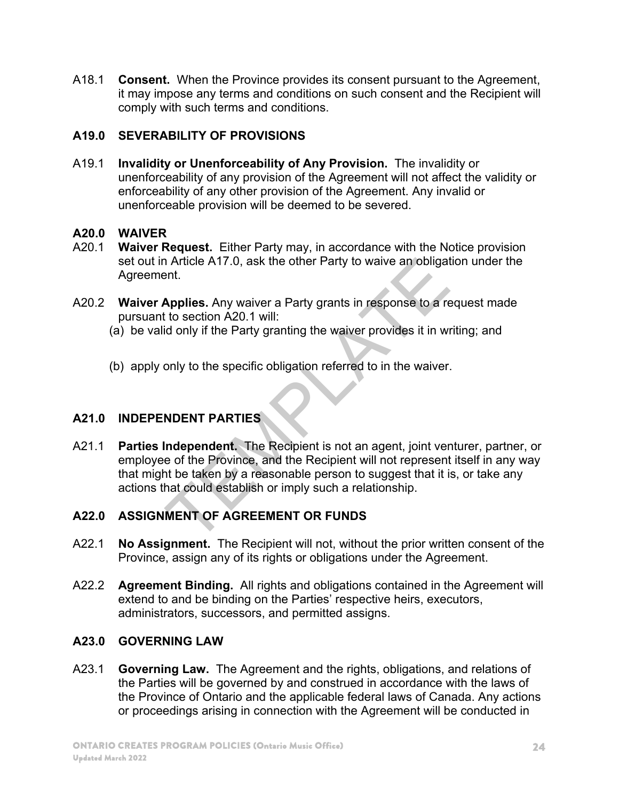A18.1 **Consent.** When the Province provides its consent pursuant to the Agreement, it may impose any terms and conditions on such consent and the Recipient will comply with such terms and conditions.

# **A19.0 SEVERABILITY OF PROVISIONS**

A19.1 **Invalidity or Unenforceability of Any Provision.** The invalidity or unenforceability of any provision of the Agreement will not affect the validity or enforceability of any other provision of the Agreement. Any invalid or unenforceable provision will be deemed to be severed.

# **A20.0 WAIVER**

- A20.1 **Waiver Request.** Either Party may, in accordance with the Notice provision set out in Article A17.0, ask the other Party to waive an obligation under the Agreement.
- A20.2 **Waiver Applies.** Any waiver a Party grants in response to a request made pursuant to section A20.1 will:
	- (a) be valid only if the Party granting the waiver provides it in writing; and
	- (b) apply only to the specific obligation referred to in the waiver.

# **A21.0 INDEPENDENT PARTIES**

A21.1 **Parties Independent.** The Recipient is not an agent, joint venturer, partner, or employee of the Province, and the Recipient will not represent itself in any way that might be taken by a reasonable person to suggest that it is, or take any actions that could establish or imply such a relationship. The A17.0, ask the other Party to waive an obligate that.<br>Applies. Any waiver a Party grants in response to a rection A20.1 will:<br>It is described and the Party granting the waiver provides it in with<br>only if the Party gran

# **A22.0 ASSIGNMENT OF AGREEMENT OR FUNDS**

- A22.1 **No Assignment.** The Recipient will not, without the prior written consent of the Province, assign any of its rights or obligations under the Agreement.
- A22.2 **Agreement Binding.** All rights and obligations contained in the Agreement will extend to and be binding on the Parties' respective heirs, executors, administrators, successors, and permitted assigns.

# **A23.0 GOVERNING LAW**

A23.1 **Governing Law.** The Agreement and the rights, obligations, and relations of the Parties will be governed by and construed in accordance with the laws of the Province of Ontario and the applicable federal laws of Canada. Any actions or proceedings arising in connection with the Agreement will be conducted in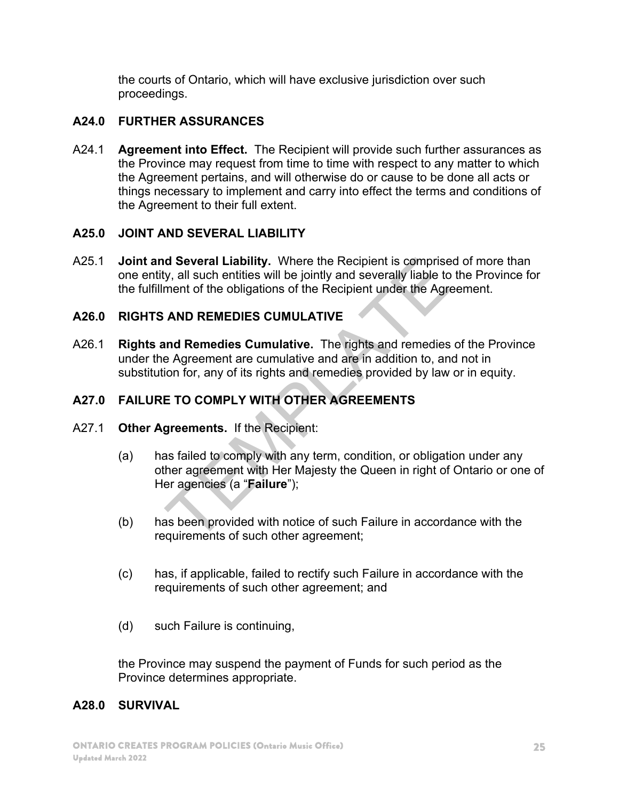the courts of Ontario, which will have exclusive jurisdiction over such proceedings.

# **A24.0 FURTHER ASSURANCES**

A24.1 **Agreement into Effect.** The Recipient will provide such further assurances as the Province may request from time to time with respect to any matter to which the Agreement pertains, and will otherwise do or cause to be done all acts or things necessary to implement and carry into effect the terms and conditions of the Agreement to their full extent.

#### **A25.0 JOINT AND SEVERAL LIABILITY**

A25.1 **Joint and Several Liability.** Where the Recipient is comprised of more than one entity, all such entities will be jointly and severally liable to the Province for the fulfillment of the obligations of the Recipient under the Agreement.

# **A26.0 RIGHTS AND REMEDIES CUMULATIVE**

A26.1 **Rights and Remedies Cumulative.** The rights and remedies of the Province under the Agreement are cumulative and are in addition to, and not in substitution for, any of its rights and remedies provided by law or in equity. **d Several Liability.** Where the Recipient is comprise<br>y, all such entities will be jointly and severally liable to<br>ment of the obligations of the Recipient under the Agre<br>**AND REMEDIES CUMULATIVE**<br>**IMPLEMENT COMPLY COMULA** 

# **A27.0 FAILURE TO COMPLY WITH OTHER AGREEMENTS**

- A27.1 **Other Agreements.** If the Recipient:
	- (a) has failed to comply with any term, condition, or obligation under any other agreement with Her Majesty the Queen in right of Ontario or one of Her agencies (a "**Failure**");
	- (b) has been provided with notice of such Failure in accordance with the requirements of such other agreement;
	- (c) has, if applicable, failed to rectify such Failure in accordance with the requirements of such other agreement; and
	- (d) such Failure is continuing,

the Province may suspend the payment of Funds for such period as the Province determines appropriate.

#### **A28.0 SURVIVAL**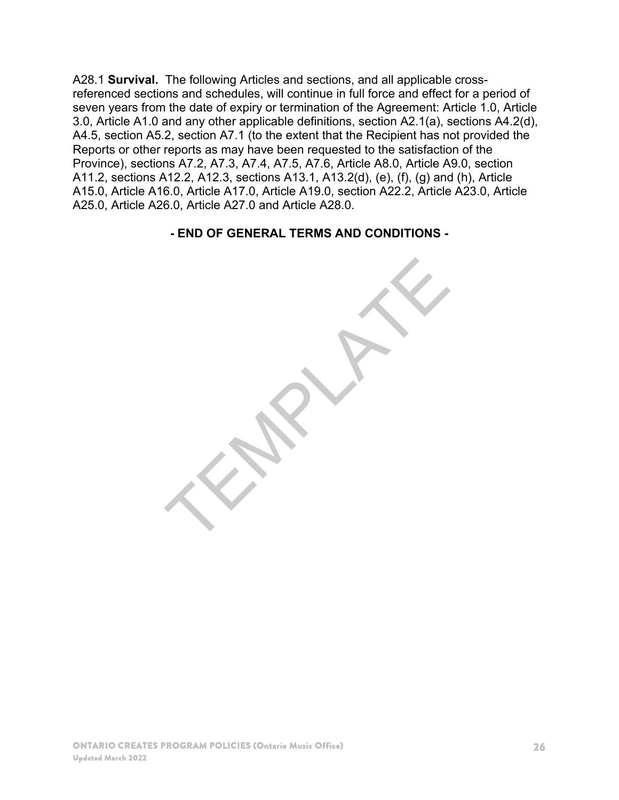A28.1 **Survival.** The following Articles and sections, and all applicable crossreferenced sections and schedules, will continue in full force and effect for a period of seven years from the date of expiry or termination of the Agreement: Article 1.0, Article 3.0, Article A1.0 and any other applicable definitions, section A2.1(a), sections A4.2(d), A4.5, section A5.2, section A7.1 (to the extent that the Recipient has not provided the Reports or other reports as may have been requested to the satisfaction of the Province), sections A7.2, A7.3, A7.4, A7.5, A7.6, Article A8.0, Article A9.0, section A11.2, sections A12.2, A12.3, sections A13.1, A13.2(d), (e), (f), (g) and (h), Article A15.0, Article A16.0, Article A17.0, Article A19.0, section A22.2, Article A23.0, Article A25.0, Article A26.0, Article A27.0 and Article A28.0.

**- END OF GENERAL TERMS AND CONDITIONS -** 

TEMPLATE

ONTARIO CREATES PROGRAM POLICIES (Ontario Music Office) Updated March 2022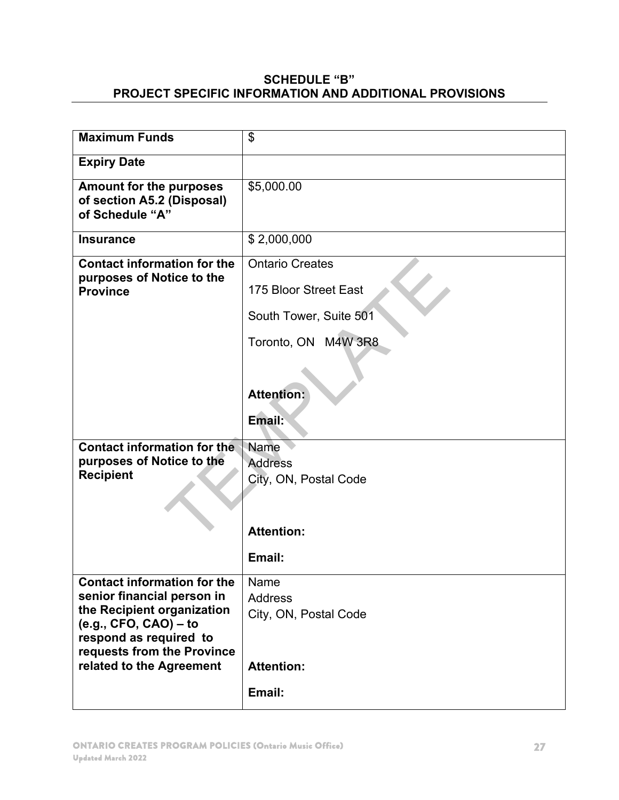#### **SCHEDULE "B" PROJECT SPECIFIC INFORMATION AND ADDITIONAL PROVISIONS**

| <b>Maximum Funds</b>                                                                                                                                                                                          | \$                                                                             |
|---------------------------------------------------------------------------------------------------------------------------------------------------------------------------------------------------------------|--------------------------------------------------------------------------------|
| <b>Expiry Date</b>                                                                                                                                                                                            |                                                                                |
| <b>Amount for the purposes</b><br>of section A5.2 (Disposal)<br>of Schedule "A"                                                                                                                               | \$5,000.00                                                                     |
| <b>Insurance</b>                                                                                                                                                                                              | \$2,000,000                                                                    |
| <b>Contact information for the</b><br>purposes of Notice to the<br><b>Province</b>                                                                                                                            | <b>Ontario Creates</b><br>175 Bloor Street East<br>South Tower, Suite 501      |
|                                                                                                                                                                                                               | Toronto, ON M4W 3R8                                                            |
|                                                                                                                                                                                                               | <b>Attention:</b><br>Email:                                                    |
| <b>Contact information for the</b><br>purposes of Notice to the<br><b>Recipient</b>                                                                                                                           | Name<br><b>Address</b>                                                         |
|                                                                                                                                                                                                               | City, ON, Postal Code<br><b>Attention:</b><br>Email:                           |
| <b>Contact information for the</b><br>senior financial person in<br>the Recipient organization<br>$(e.g., CFO, CAO) - to$<br>respond as required to<br>requests from the Province<br>related to the Agreement | Name<br><b>Address</b><br>City, ON, Postal Code<br><b>Attention:</b><br>Email: |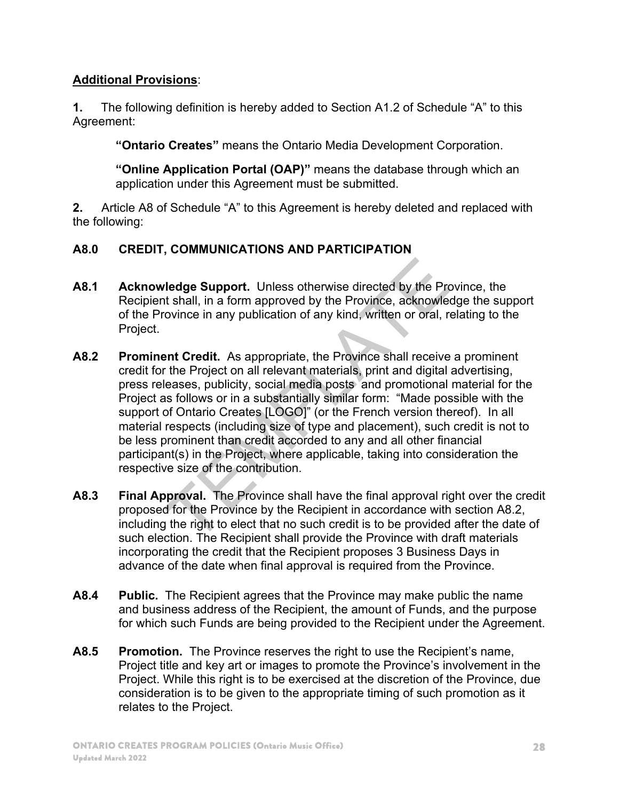# **Additional Provisions**:

**1.** The following definition is hereby added to Section A1.2 of Schedule "A" to this Agreement:

**"Ontario Creates"** means the Ontario Media Development Corporation.

**"Online Application Portal (OAP)"** means the database through which an application under this Agreement must be submitted.

**2.** Article A8 of Schedule "A" to this Agreement is hereby deleted and replaced with the following:

# **A8.0 CREDIT, COMMUNICATIONS AND PARTICIPATION**

- **A8.1 Acknowledge Support.** Unless otherwise directed by the Province, the Recipient shall, in a form approved by the Province, acknowledge the support of the Province in any publication of any kind, written or oral, relating to the Project.
- **A8.2 Prominent Credit.** As appropriate, the Province shall receive a prominent credit for the Project on all relevant materials, print and digital advertising, press releases, publicity, social media posts and promotional material for the Project as follows or in a substantially similar form: "Made possible with the support of Ontario Creates [LOGO]" (or the French version thereof). In all material respects (including size of type and placement), such credit is not to be less prominent than credit accorded to any and all other financial participant(s) in the Project, where applicable, taking into consideration the respective size of the contribution. **ledge Support.** Unless otherwise directed by the Proton and the shall, in a form approved by the Province, acknowled ovince in any publication of any kind, written or oral, not and the Project on all relevant materials, p
- **A8.3 Final Approval.** The Province shall have the final approval right over the credit proposed for the Province by the Recipient in accordance with section A8.2, including the right to elect that no such credit is to be provided after the date of such election. The Recipient shall provide the Province with draft materials incorporating the credit that the Recipient proposes 3 Business Days in advance of the date when final approval is required from the Province.
- **A8.4 Public.** The Recipient agrees that the Province may make public the name and business address of the Recipient, the amount of Funds, and the purpose for which such Funds are being provided to the Recipient under the Agreement.
- **A8.5 Promotion.** The Province reserves the right to use the Recipient's name, Project title and key art or images to promote the Province's involvement in the Project. While this right is to be exercised at the discretion of the Province, due consideration is to be given to the appropriate timing of such promotion as it relates to the Project.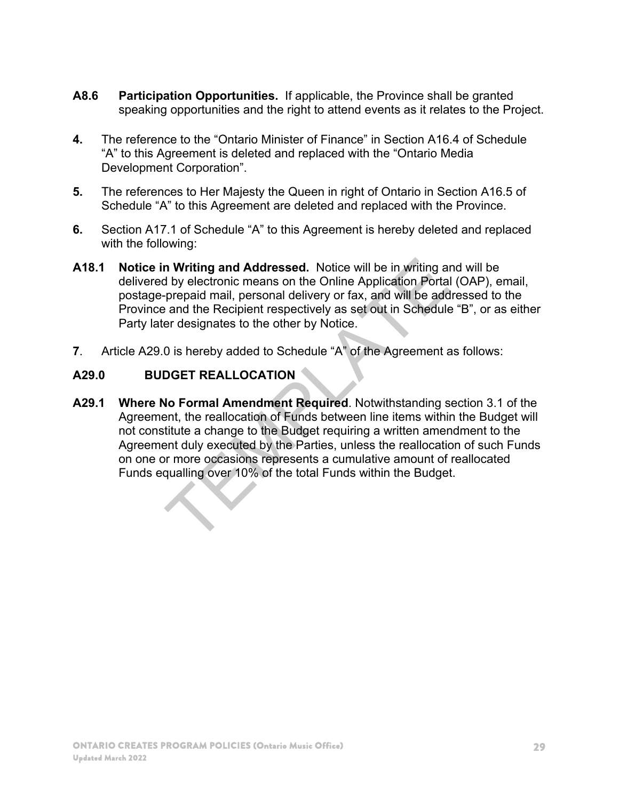- **A8.6 Participation Opportunities.** If applicable, the Province shall be granted speaking opportunities and the right to attend events as it relates to the Project.
- **4.** The reference to the "Ontario Minister of Finance" in Section A16.4 of Schedule "A" to this Agreement is deleted and replaced with the "Ontario Media Development Corporation".
- **5.** The references to Her Majesty the Queen in right of Ontario in Section A16.5 of Schedule "A" to this Agreement are deleted and replaced with the Province.
- **6.** Section A17.1 of Schedule "A" to this Agreement is hereby deleted and replaced with the following:
- **A18.1 Notice in Writing and Addressed.** Notice will be in writing and will be delivered by electronic means on the Online Application Portal (OAP), email, postage-prepaid mail, personal delivery or fax, and will be addressed to the Province and the Recipient respectively as set out in Schedule "B", or as either Party later designates to the other by Notice.
- **7**. Article A29.0 is hereby added to Schedule "A" of the Agreement as follows:

#### **A29.0 BUDGET REALLOCATION**

**A29.1 Where No Formal Amendment Required**. Notwithstanding section 3.1 of the Agreement, the reallocation of Funds between line items within the Budget will not constitute a change to the Budget requiring a written amendment to the Agreement duly executed by the Parties, unless the reallocation of such Funds on one or more occasions represents a cumulative amount of reallocated Funds equalling over 10% of the total Funds within the Budget. **n Writing and Addressed.** Notice will be in writing and by electronic means on the Online Application Portal prepaid mail, personal delivery or fax, and will be add a and the Recipient respectively as set out in Schedule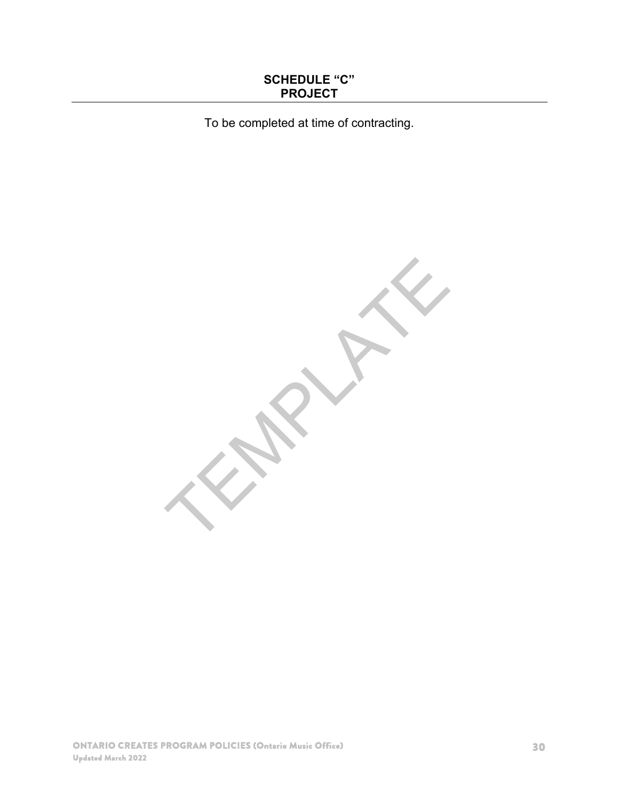#### **SCHEDULE "C" PROJECT**

To be completed at time of contracting.

TEMPLATE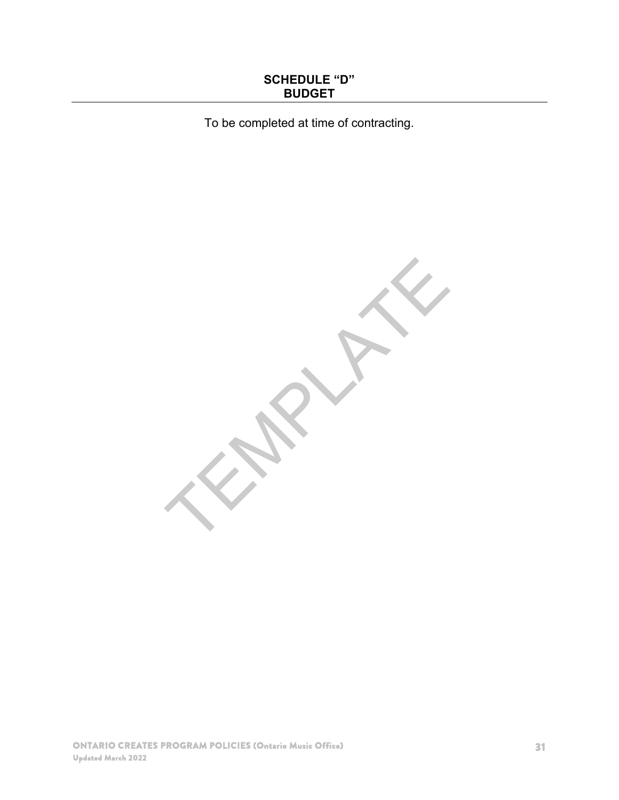#### **SCHEDULE "D" BUDGET**

To be completed at time of contracting.

TEMPLATE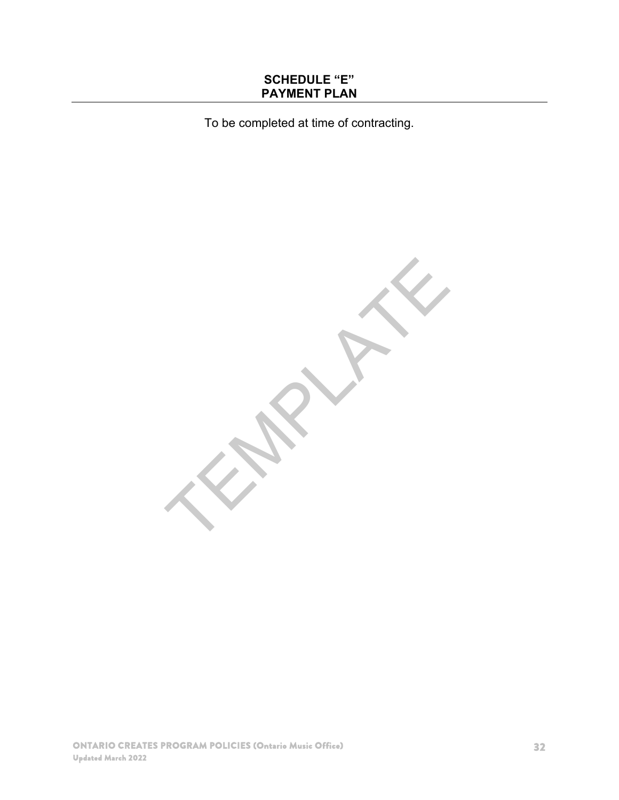#### **SCHEDULE "E" PAYMENT PLAN**

To be completed at time of contracting.

TEMPLATE